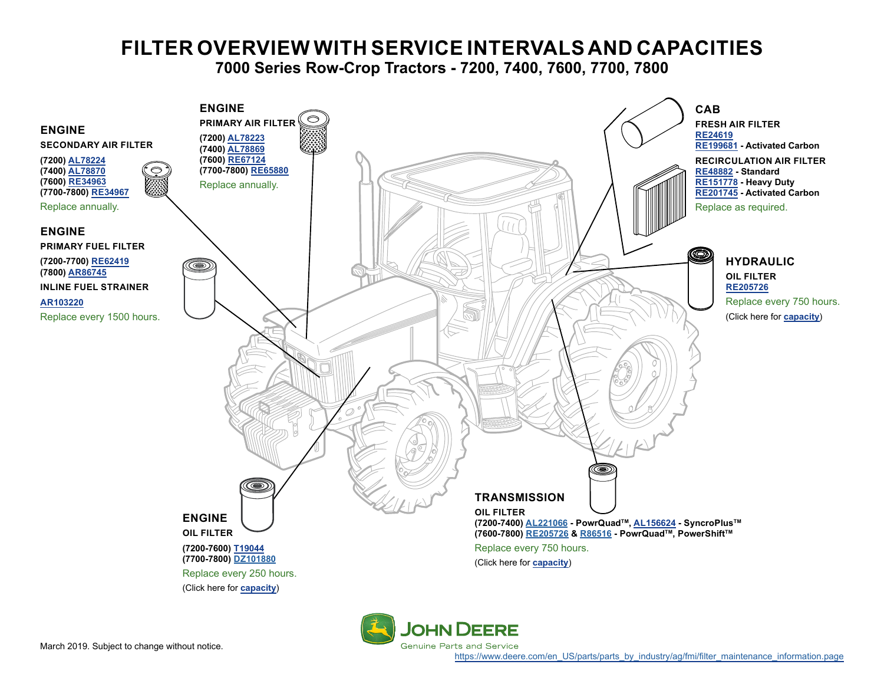# **FILTER OVERVIEW WITH SERVICE INTERVALS AND CAPACITIES**

**7000 Series Row-Crop Tractors - 7200, 7400, 7600, 7700, 7800**

<span id="page-0-0"></span>

**Genuine Parts and Service** 

[https://www.deere.com/en\\_US/parts/parts\\_by\\_industry/ag/fmi/filter\\_maintenance\\_information.page](https://www.deere.com/en_US/parts/parts_by_industry/ag/fmi/filter_maintenance_information.page)